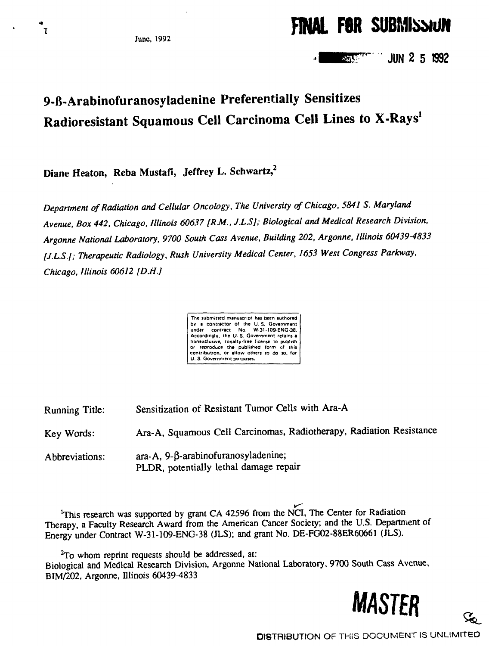**FINAL FOR SUBMISSIUM** 

**' JUN 2 5 1992 AAM** 

# **9-B-Arabinofuranosyladenine Preferentially Sensitizes Radioresistant Squamous Cell Carcinoma Cell Lines to X-Rays<sup>1</sup>**

**Diane Heaton, Reba Mustafi, Jeffrey L. Schwartz,<sup>2</sup>**

*Department of Radiation and Cellular Oncology, The University of Chicago, 5841 S. Maryland Avenue, Box 442, Chicago, Illinois 60637 [RM.. J.L.S]; Biological and Medical Research Division, Argonne National Laboratory, 9700 South Cass Avenue, Building 202, Argonne, Illinois 60439-4833 (J.L.S.]; Therapeutic Radiology, Rush University Medical Center, 1653 West Congress Parkway, Chicago, Illinois 60612 [DM.]*

| The submitted manuscript has been authored    |
|-----------------------------------------------|
| by a contractor of the U.S. Government !      |
| under contract No. W-31-109-ENG-38.           |
| Accordingly, the U.S. Government retains a    |
| nonexclusive, royalty-free license to publish |
| or reproduce the published form of this       |
| contribution, or allow others to do so, for   |
| U.S. Government purposes.                     |
|                                               |

Running Title: Sensitization of Resistant Tumor Cells with Ara-A Key Words: Ara-A, Squamous Cell Carcinomas, Radiotherapy, Radiation Resistance Abbreviations:  $\arctan A$ , 9- $\beta$ -arabinofuranosyladenine; PLDR, potentially lethal damage repair

<sup>1</sup>This research was supported by grant CA 42596 from the NCI, The Center for Radiation Therapy, a Faculty Research Award from the American Cancer Society; and the U.S. Department of Energy under Contract W-31-109-ENG-38 (JLS); and grant No. DE-FG02-88ER60661 (JLS).

 $^{2}$ To whom reprint requests should be addressed, at: Biological and Medical Research Division, Argonne National Laboratory, 9700 South Cass Avenue, BIM/202, Argonne, Illinois 60439-4833



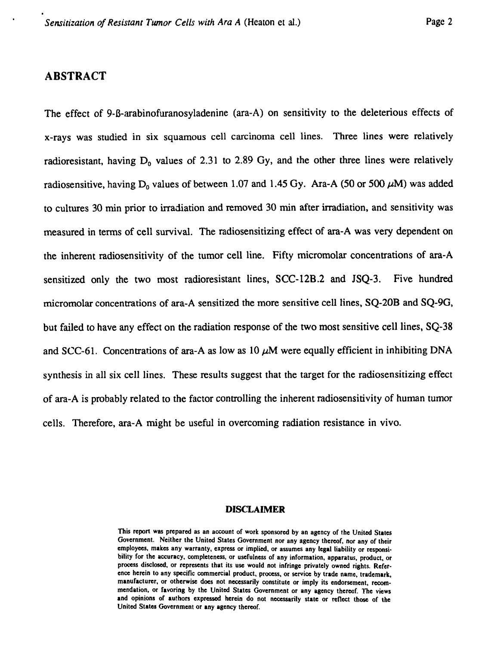# **ABSTRACT**

The effect of 9-B-arabinofuranosyladenine (ara-A) on sensitivity to the deleterious effects of x-rays was studied in six squamous cell carcinoma cell lines. Three lines were relatively radioresistant, having  $D_0$  values of 2.31 to 2.89 Gy, and the other three lines were relatively radiosensitive, having  $D_0$  values of between 1.07 and 1.45 Gy. Ara-A (50 or 500  $\mu$ M) was added to cultures 30 min prior to irradiation and removed 30 min after irradiation, and sensitivity was measured in terms of cell survival. The radiosensitizing effect of ara-A was very dependent on the inherent radiosensitivity of the tumor cell line. Fifty micromolar concentrations of ara-A sensitized only the two most radioresistant lines, SCC-12B.2 and JSQ-3. Five hundred micromolar concentrations of ara-A sensitized the more sensitive cell lines, SQ-20B and SQ-9G, but failed to have any effect on the radiation response of the two most sensitive cell lines, SQ-38 and SCC-61. Concentrations of ara-A as low as  $10 \mu M$  were equally efficient in inhibiting DNA synthesis in all six cell lines. These results suggest that the target for the radiosensitizing effect of ara-A is probably related to the factor controlling the inherent radiosensitivity of human tumor cells. Therefore, ara-A might be useful in overcoming radiation resistance in vivo.

#### **DISCLAIMER**

**This report was prepared as an account of work sponsored by an agency of the United States Government. Neither the United States Government nor any agency thereof, nor any of their employees, makes any warranty, express or implied, or assumes any legal liability or responsibility for the accuracy, completeness, or usefulness of any information, apparatus, product, or process disclosed, or represents that its use would not infringe privately owned rights. Reference herein to any specific commercial product, process, or service by trade name, trademark, manufacturer, or otherwise does not necessarily constitute or imply its endorsement, recommendation, or favoring by the United States Government or any agency thereof. The views and opinions of authors expressed herein do not necessarily stale or reflect those of the United States Government or any agency thereof.**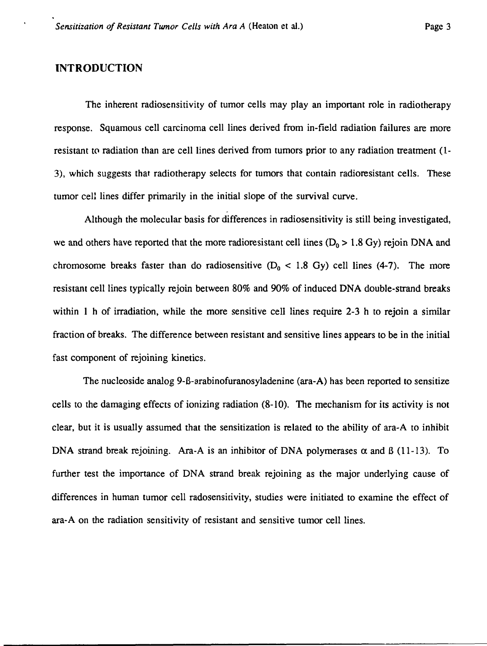#### **INTRODUCTION**

The inherent radiosensitivity of tumor cells may play an important role in radiotherapy response. Squamous cell carcinoma cell lines derived from in-field radiation failures are more resistant to radiation than are cell lines derived from tumors prior to any radiation treatment (1- 3), which suggests that radiotherapy selects for tumors that contain radioresistant cells. These tumor cell lines differ primarily in the initial slope of the survival curve.

Although the molecular basis for differences in radiosensitivity is still being investigated, we and others have reported that the more radioresistant cell lines ( $D_0 > 1.8$  Gy) rejoin DNA and chromosome breaks faster than do radiosensitive  $(D_0 < 1.8 \text{ Gy})$  cell lines (4-7). The more resistant cell lines typically rejoin between 80% and 90% of induced DNA double-strand breaks within 1 h of irradiation, while the more sensitive cell lines require 2-3 h to rejoin a similar fraction of breaks. The difference between resistant and sensitive lines appears to be in the initial fast component of rejoining kinetics.

The nucleoside analog 9-B-arabinofuranosyladenine (ara-A) has been reported to sensitize cells to the damaging effects of ionizing radiation (8-10). The mechanism for its activity is not clear, but it is usually assumed that the sensitization is related to the ability of ara-A to inhibit DNA strand break rejoining. Ara-A is an inhibitor of DNA polymerases  $\alpha$  and  $\beta$  (11-13). To further test the importance of DNA strand break rejoining as the major underlying cause of differences in human tumor cell radosensitivity, studies were initiated to examine the effect of ara-A on the radiation sensitivity of resistant and sensitive tumor cell lines.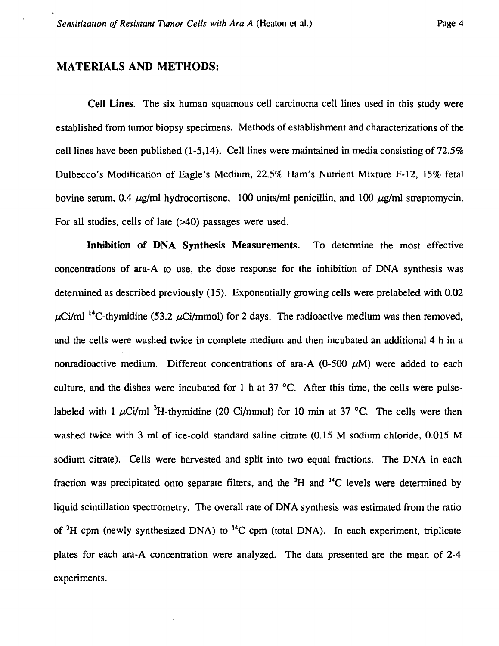# **MATERIALS AND METHODS:**

**Cell Lines.** The six human squamous cell carcinoma cell lines used in this study were established from tumor biopsy specimens. Methods of establishment and characterizations of the cell lines have been published (1-5,14). Cell lines were maintained in media consisting of 72.5% Dulbecco's Modification of Eagle's Medium, 22.5% Ham's Nutrient Mixture F-12, 15% fetal bovine serum, 0.4  $\mu$ g/ml hydrocortisone, 100 units/ml penicillin, and 100  $\mu$ g/ml streptomycin. For all studies, cells of late (>40) passages were used.

**Inhibition of DNA Synthesis Measurements.** To determine the most effective concentrations of ara-A to use, the dose response for the inhibition of DNA synthesis was determined as described previously (15). Exponentially growing cells were prelabeled with 0.02  $\mu$ Ci/ml<sup>14</sup>C-thymidine (53.2  $\mu$ Ci/mmol) for 2 days. The radioactive medium was then removed, and the cells were washed twice in complete medium and then incubated an additional 4 h in a nonradioactive medium. Different concentrations of ara-A  $(0-500 \mu M)$  were added to each culture, and the dishes were incubated for 1 h at 37  $^{\circ}$ C. After this time, the cells were pulselabeled with 1  $\mu$ Ci/ml<sup>3</sup>H-thymidine (20 Ci/mmol) for 10 min at 37 °C. The cells were then washed twice with 3 ml of ice-cold standard saline citrate (0.15 M sodium chloride, 0.015 M sodium citrate). Cells were harvested and split into two equal fractions. The DNA in each fraction was precipitated onto separate filters, and the  ${}^{3}H$  and  ${}^{14}C$  levels were determined by liquid scintillation spectrometry. The overall rate of DNA synthesis was estimated from the ratio of  ${}^{3}H$  cpm (newly synthesized DNA) to  ${}^{14}C$  cpm (total DNA). In each experiment, triplicate plates for each ara-A concentration were analyzed. The data presented are the mean of 2-4 experiments.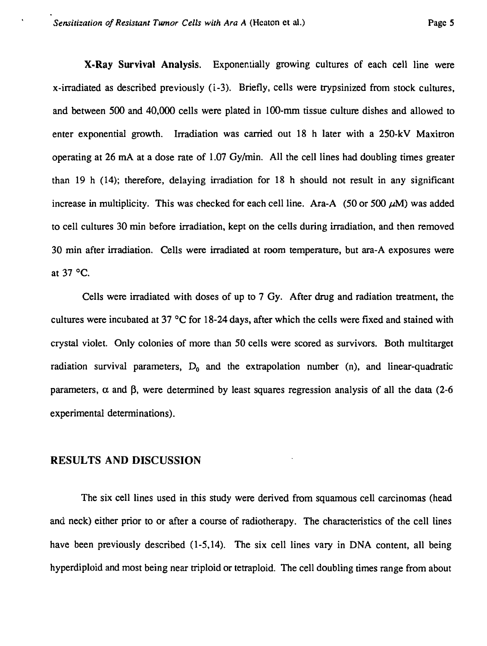**X-Ray Survival Analysis.** Exponentially growing cultures of each cell line were x-irradiated as described previously (i-3). Briefly, cells were trypsinized from stock cultures, and between 500 and 40,000 cells were plated in 100-mm tissue culture dishes and allowed to enter exponential growth. Irradiation was carried out 18 h later with a 250-kV Maxitron operating at 26 mA at a dose rate of 1.07 Gy/min. All the cell lines had doubling times greater than 19 h (14); therefore, delaying irradiation for 18 h should not result in any significant increase in multiplicity. This was checked for each cell line. Ara-A  $(50 \text{ or } 500 \mu M)$  was added to cell cultures 30 min before irradiation, kept on the cells during irradiation, and then removed 30 min after irradiation. Cells were irradiated at room temperature, but ara-A exposures were at 37 °C.

Cells were irradiated with doses of up to 7 Gy. After drug and radiation treatment, the cultures were incubated at 37 °C for 18-24 days, after which the cells were fixed and stained with crystal violet. Only colonies of more than 50 cells were scored as survivors. Both multitarget radiation survival parameters,  $D_0$  and the extrapolation number (n), and linear-quadratic parameters,  $\alpha$  and  $\beta$ , were determined by least squares regression analysis of all the data (2-6) experimental determinations).

## RESULTS AND DISCUSSION

The six cell lines used in this study were derived from squamous cell carcinomas (head and neck) either prior to or after a course of radiotherapy. The characteristics of the cell lines have been previously described (1-5,14). The six cell lines vary in DNA content, all being hyperdiploid and most being near triploid or tetraploid. The cell doubling times range from about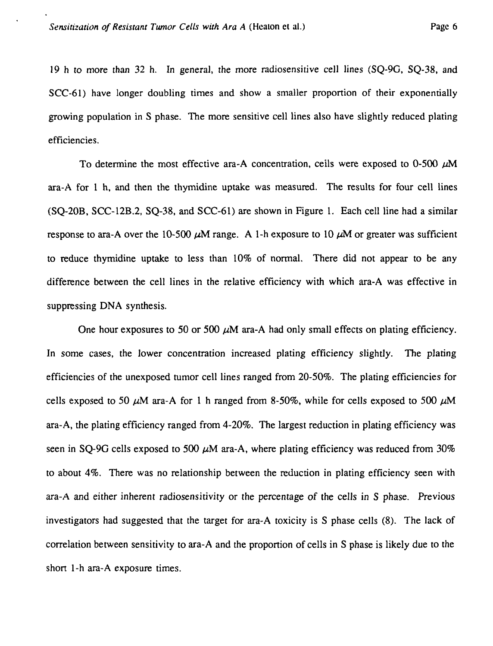19 h to more than 32 h. In general, the more radiosensitive cell lines (SQ-9G, SQ-38, and SCC-61) have longer doubling times and show a smaller proportion of their exponentially growing population in S phase. The more sensitive cell lines also have slightly reduced plating efficiencies.

To determine the most effective ara-A concentration, cells were exposed to  $0-500 \mu M$ ara-A for 1 h, and then the thymidine uptake was measured. The results for four cell lines (SQ-20B, SCC-12B.2, SQ-38, and SCC-61) are shown in Figure 1. Each cell line had a similar response to ara-A over the 10-500  $\mu$ M range. A 1-h exposure to 10  $\mu$ M or greater was sufficient to reduce thymidine uptake to less than 10% of normal. There did not appear to be any difference between the cell lines in the relative efficiency with which ara-A was effective in suppressing DNA synthesis.

One hour exposures to 50 or 500  $\mu$ M ara-A had only small effects on plating efficiency. In some cases, the lower concentration increased plating efficiency slightly. The plating efficiencies of the unexposed tumor cell lines ranged from 20-50%. The plating efficiencies for cells exposed to 50  $\mu$ M ara-A for 1 h ranged from 8-50%, while for cells exposed to 500  $\mu$ M ara-A, the plating efficiency ranged from 4-20%. The largest reduction in plating efficiency was seen in SQ-9G cells exposed to 500  $\mu$ M ara-A, where plating efficiency was reduced from 30% to about 4%. There was no relationship between the reduction in plating efficiency seen with ara-A and either inherent radiosensitivity or the percentage of the cells in S phase. Previous investigators had suggested that the target for ara-A toxicity is S phase cells (8). The lack of correlation between sensitivity to ara-A and the proportion of cells in S phase is likely due to the short 1-h ara-A exposure times.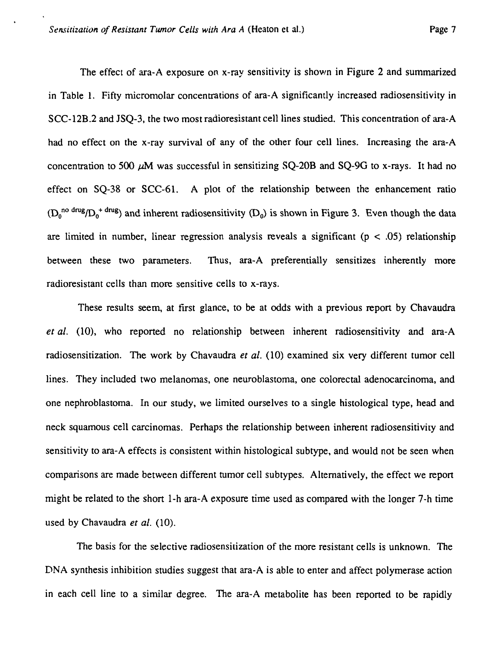The effect of ara-A exposure on x-ray sensitivity is shown in Figure 2 and summarized in Table 1. Fifty micromolar concentrations of ara-A significantly increased radiosensitivity in SCC-12B.2 and JSQ-3, the two most radioresistant cell lines studied. This concentration of ara-A had no effect on the x-ray survival of any of the other four cell lines. Increasing the ara-A concentration to 500  $\mu$ M was successful in sensitizing SO-20B and SO-9G to x-rays. It had no effect on SQ-38 or SCC-61. A plot of the relationship between the enhancement ratio  $(D_0^{no \text{ drug}}/D_0^{+}$  drug) and inherent radiosensitivity  $(D_0)$  is shown in Figure 3. Even though the data are limited in number, linear regression analysis reveals a significant ( $p < .05$ ) relationship between these two parameters. Thus, ara-A preferentially sensitizes inherently more radioresistant cells than more sensitive cells to x-rays.

These results seem, at first glance, to be at odds with a previous report by Chavaudra *et al.* (10), who reported no relationship between inherent radiosensitivity and ara-A radiosensitization. The work by Chavaudra *et al.* (10) examined six very different tumor cell lines. They included two melanomas, one neuroblastoma, one colorectal adenocarcinoma, and one nephroblastoma. In our study, we limited ourselves to a single histological type, head and neck squamous cell carcinomas. Perhaps the relationship between inherent radiosensitivity and sensitivity to ara-A effects is consistent within histological subtype, and would not be seen when comparisons are made between different tumor cell subtypes. Alternatively, the effect we report might be related to the short 1-h ara-A exposure time used as compared with the longer 7-h time used by Chavaudra *et al.* (10).

The basis for the selective radiosensitization of the more resistant cells is unknown. The DNA synthesis inhibition studies suggest that ara-A is able to enter and affect polymerase action in each cell line to a similar degree. The ara-A metabolite has been reported to be rapidly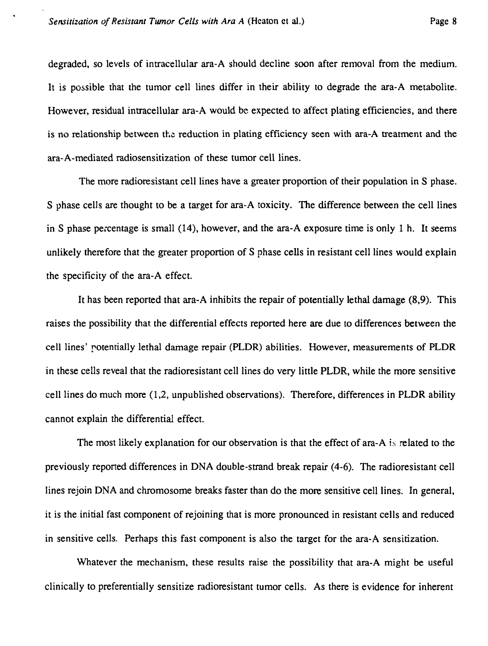degraded, so levels of intracellular ara-A should decline soon after removal from the medium. It is possible that the tumor cell lines differ in their ability to degrade the ara-A metabolite. However, residual intracellular ara-A would be expected to affect plating efficiencies, and there is no relationship between the reduction in plating efficiency seen with ara-A treatment and the ara-A-mediated radiosensitization of these tumor cell lines.

The more radioresistant cell lines have a greater proportion of their population in S phase. S phase cells are thought to be a target for ara-A toxicity. The difference between the cell lines in S phase percentage is small (14), however, and the ara-A exposure time is only 1 h. It seems unlikely therefore that the greater proportion of S phase cells in resistant cell lines would explain the specificity of the ara-A effect.

It has been reported that ara-A inhibits the repair of potentially lethal damage (8,9). This raises the possibility that the differential effects reported here are due to differences between the cell lines' potentially lethal damage repair (PLDR) abilities. However, measurements of PLDR in these cells reveal that the radioresistant cell lines do very little PLDR, while the more sensitive cell lines do much more (1,2, unpublished observations). Therefore, differences in PLDR ability cannot explain the differential effect.

The most likely explanation for our observation is that the effect of ara-A is related to the previously reported differences in DNA double-strand break repair (4-6). The radioresistant cell lines rejoin DNA and chromosome breaks faster than do the more sensitive cell lines. In general, it is the initial fast component of rejoining that is more pronounced in resistant cells and reduced in sensitive cells. Perhaps this fast component is also the target for the ara-A sensitization.

Whatever the mechanism, these results raise the possibility that ara-A might be useful clinically to preferentially sensitize radioresistant tumor cells. As there is evidence for inherent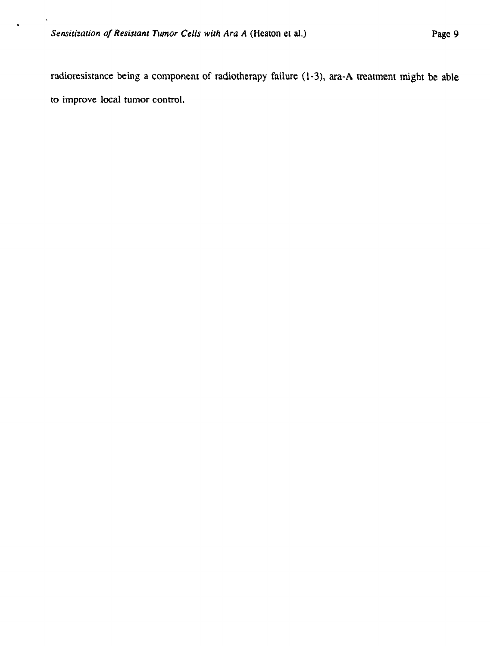radioresistance being a component of radiotherapy failure (1-3), ara-A treatment might be able to improve local tumor control.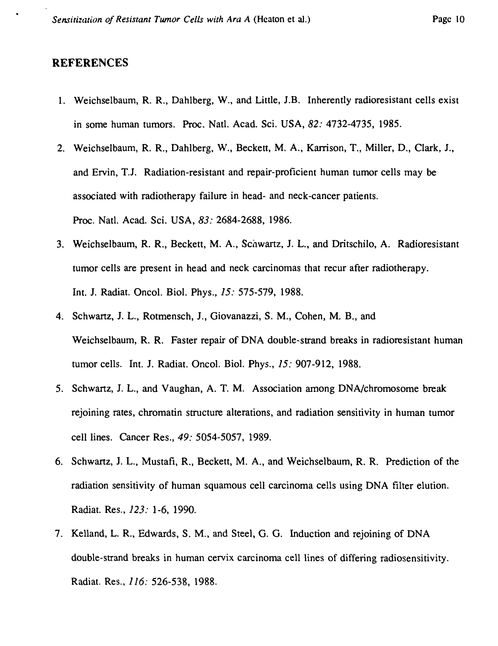#### REFERENCES

- 1. Weichselbaum, R. R., Dahlberg, W., and Little, J.B. Inherently radioresistant cells exist in some human tumors. Proc. Natl. Acad. Sci. USA, *82:* 4732-4735, 1985.
- 2. Weichselbaum, R. R., Dahlberg, W., Beckett, M. A., Karrison, T., Miller, D., Clark, J., and Ervin, T.J. Radiation-resistant and repair-proficient human tumor cells may be associated with radiotherapy failure in head- and neck-cancer patients. Proc. Natl. Acad. Sci. USA, *83:* 2684-2688, 1986.
- 3. Weichselbaum, R. R., Beckett, M. A., Schwartz, J. L., and Dritschilo, A. Radioresistant tumor cells are present in head and neck carcinomas that recur after radiotherapy. Int. J. Radiat. Oncol. Biol. Phys., *15:* 575-579, 1988.
- 4. Schwartz, J. L., Rotmensch, J., Giovanazzi, S. M., Cohen, M. B., and Weichselbaum, R. R. Faster repair of DNA double-strand breaks in radioresistant human tumor cells. Int. J. Radiat. Oncol. Biol. Phys., *15:* 907-912, 1988.
- 5. Schwartz, J. L., and Vaughan, A. T. M. Association among DNA/chromosome break rejoining rates, chromatin structure alterations, and radiation sensitivity in human tumor cell lines. Cancer Res., *49:* 5054-5057, 1989.
- 6. Schwartz, J. L., Mustafi, R., Beckett, M. A., and Weichselbaum, R. R. Prediction of the radiation sensitivity of human squamous cell carcinoma cells using DNA filter elution. Radiat. Res., *123:* 1-6, 1990.
- 7. Kelland, L. R., Edwards, S. M., and Steel, G. G. Induction and rejoining of DNA double-strand breaks in human cervix carcinoma cell lines of differing radiosensitivity. Radiat. Res., *116:* 526-538, 1988.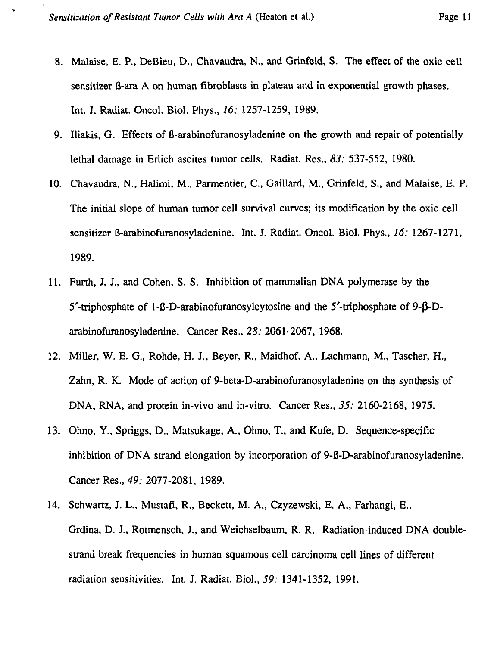- 8. Malaise, E. P., DeBieu, D., Chavaudra, N., and Grinfeid, S. The effect of the oxic cell sensitizer B-ara A on human fibroblasts in plateau and in exponential growth phases. Int. J. Radiat. Oncol. Biol. Phys., *16;* 1257-1259, 1989.
- 9. Iliakis, G. Effects of B-arabinofuranosyladenine on the growth and repair of potentially lethal damage in Erlich ascites tumor cells. Radiat. Res., *83:* 537-552, 1980.
- 10. Chavaudra, N., Halimi, M., Parmentier, C, Gaillard, M., Grinfeid, S., and Malaise, E. P. The initial slope of human tumor cell survival curves; its modification by the oxic cell sensitizer B-arabinofuranosyladenine. Int. J. Radiat. Oncol. Biol. Phys., *16:* 1267-1271, 1989.
- 11. Furth, J. J., and Cohen, S. S. Inhibition of mammalian DNA polymerase by the  $5'$ -triphosphate of 1-8-D-arabinofuranosylcytosine and the  $5'$ -triphosphate of 9- $\beta$ -Darabinofuranosyladenine. Cancer Res., *28:* 2061-2067, 1968.
- 12. Miller, W. E. G., Rohde, H. J., Beyer, R., Maidhof, A., Lachmann, M., Tascher, H., Zahn, R. K. Mode of action of 9-beta-D-arabinofuranosyladenine on the synthesis of DNA, RNA, and protein in-vivo and in-vitro. Cancer Res., 55: 2160-2168, 1975.
- 13. Ohno, Y., Spriggs, D., Matsukage, A., Ohno, T., and Kufe, D. Sequence-specific inhibition of DNA strand elongation by incorporation of 9-B-D-arabinofuranosyladenine. Cancer Res., *49:* 2077-2081, 1989.
- 14. Schwartz, J. L., Mustafi, R., Beckett, M. A., Czyzewski, E. A., Farhangi, E., Grdina, D. J., Rotmensch, J., and Weichselbaum, R. R. Radiation-induced DNA doublestrand break frequencies in human squamous cell carcinoma cell lines of different radiation sensitivities. Int. J. Radiat. Biol., *59:* 1341-1352, 1991.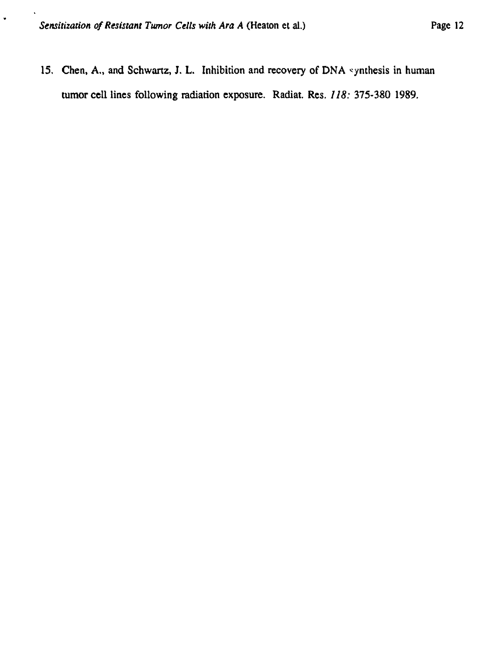$\ddot{\phantom{0}}$ 

15. Chen, A., and Schwartz, J. L. Inhibition and recovery of DNA synthesis in human tumor cell lines following radiation exposure. Radiat. Res. *118:* 375-380 1989.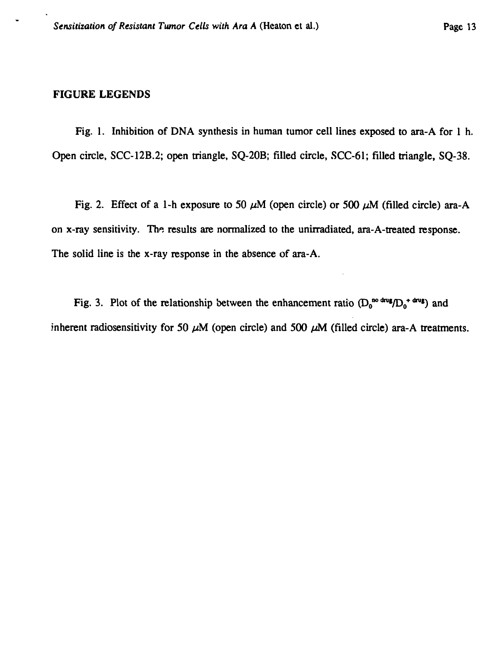### **FIGURE LEGENDS**

Fig. 1. Inhibition of DNA synthesis in human tumor cell lines exposed to ara-A for 1 h. Open circle, SCC-12B.2; open triangle, SQ-20B; filled circle, SCC-61; filled triangle, SQ-38.

Fig. 2. Effect of a 1-h exposure to 50  $\mu$ M (open circle) or 500  $\mu$ M (filled circle) ara-A on x-ray sensitivity. The results are normalized to the unirradiated, ara-A-treated response. The solid line is the x-ray response in the absence of ara-A.

Fig. 3. Plot of the relationship between the enhancement ratio  $(D_0^{\text{no drug}}/D_0^+$  dws and inherent radiosensitivity for 50  $\mu$ M (open circle) and 500  $\mu$ M (filled circle) ara-A treatments.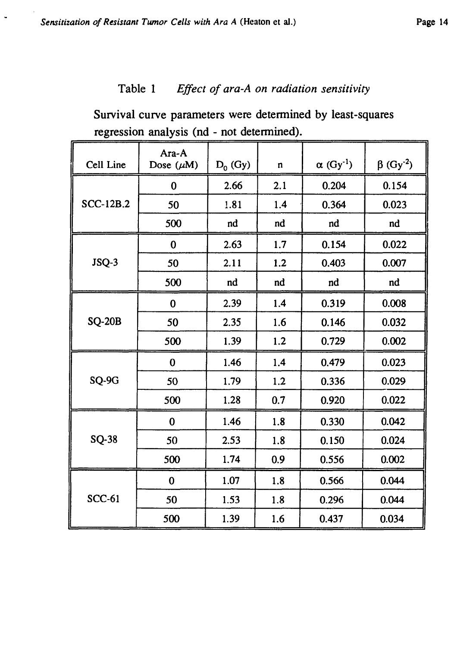# Table 1 *Effect of ara-A on radiation sensitivity*

Survival curve parameters were determined by least-squares regression analysis (nd - not determined).

| Cell Line        | Ara-A<br>Dose $(\mu M)$ | $D_0$ (Gy) | $\mathbf n$ | $\alpha$ (Gy <sup>-1</sup> ) | $\beta$ (Gy <sup>-2</sup> ) |
|------------------|-------------------------|------------|-------------|------------------------------|-----------------------------|
| <b>SCC-12B.2</b> | 0                       | 2.66       | 2.1         | 0.204                        | 0.154                       |
|                  | 50                      | 1.81       | 1.4         | 0.364                        | 0.023                       |
|                  | 500                     | nd         | nd          | nd                           | nd                          |
| JSQ-3            | $\bf{0}$                | 2.63       | 1.7         | 0.154                        | 0.022                       |
|                  | 50                      | 2.11       | 1.2         | 0.403                        | 0.007                       |
|                  | 500                     | nd         | nd          | nd                           | nd                          |
| <b>SQ-20B</b>    | $\bf{0}$                | 2.39       | 1.4         | 0.319                        | 0.008                       |
|                  | 50                      | 2.35       | 1.6         | 0.146                        | 0.032                       |
|                  | 500                     | 1.39       | 1.2         | 0.729                        | 0.002                       |
| SQ-9G            | $\bf{0}$                | 1.46       | 1.4         | 0.479                        | 0.023                       |
|                  | 50                      | 1.79       | 1.2         | 0.336                        | 0.029                       |
|                  | 500                     | 1.28       | 0.7         | 0.920                        | 0.022                       |
| <b>SQ-38</b>     | $\bf{0}$                | 1.46       | 1.8         | 0.330                        | 0.042                       |
|                  | 50                      | 2.53       | 1.8         | 0.150                        | 0.024                       |
|                  | 500                     | 1.74       | 0.9         | 0.556                        | 0.002                       |
| <b>SCC-61</b>    | $\bf{0}$                | 1.07       | 1.8         | 0.566                        | 0.044                       |
|                  | 50                      | 1.53       | 1.8         | 0.296                        | 0.044                       |
|                  | 500                     | 1.39       | 1.6         | 0.437                        | 0.034                       |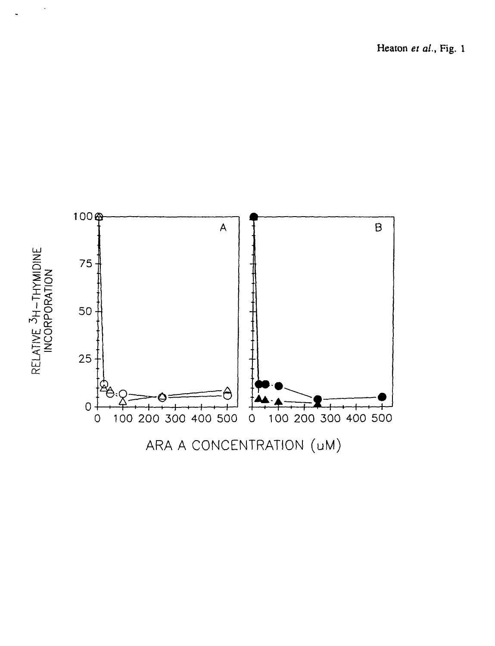Heaton *et al.,* Fig. 1



ARA A CONCENTRATION (uM)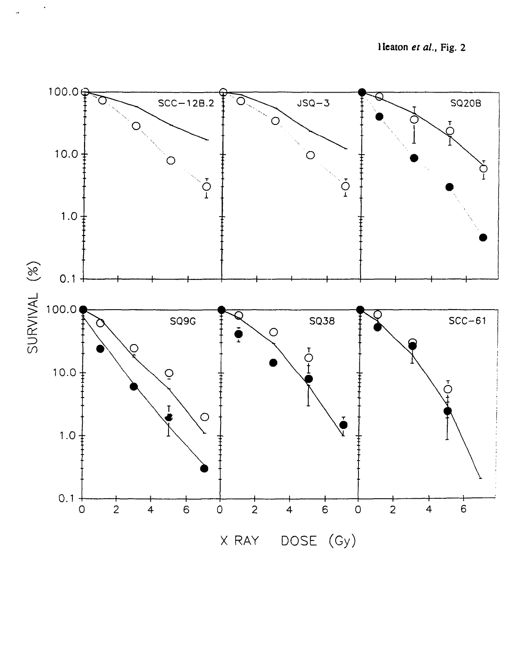